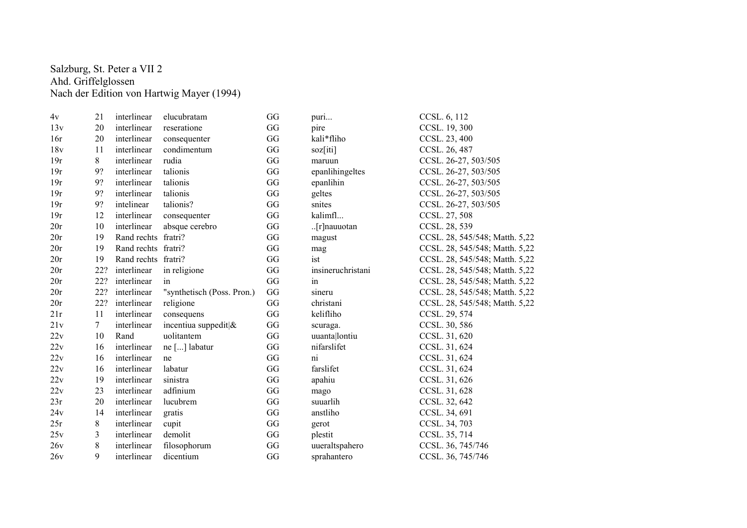## Salzburg, St. Peter a VII 2 Ahd. Griffelglossen Nach der Edition von Hartwig Mayer (1994)

| 4v  | 21          | interlinear         | elucubratam                | GG | puri                  | CCSL. 6, 112                   |
|-----|-------------|---------------------|----------------------------|----|-----------------------|--------------------------------|
| 13v | 20          | interlinear         | reseratione                | GG | pire                  | CCSL. 19, 300                  |
| 16r | 20          | interlinear         | consequenter               | GG | kali*fliho            | CCSL. 23, 400                  |
| 18v | 11          | interlinear         | condimentum                | GG | soz[iti]              | CCSL. 26, 487                  |
| 19r | 8           | interlinear         | rudia                      | GG | maruun                | CCSL. 26-27, 503/505           |
| 19r | 9?          | interlinear         | talionis                   | GG | epanlihingeltes       | CCSL. 26-27, 503/505           |
| 19r | 9?          | interlinear         | talionis                   | GG | epanlihin             | CCSL. 26-27, 503/505           |
| 19r | 9?          | interlinear         | talionis                   | GG | geltes                | CCSL. 26-27, 503/505           |
| 19r | 9?          | intelinear          | talionis?                  | GG | snites                | CCSL. 26-27, 503/505           |
| 19r | 12          | interlinear         | consequenter               | GG | kalimfl               | CCSL. 27, 508                  |
| 20r | 10          | interlinear         | absque cerebro             | GG | $\lfloor$ [r]nauuotan | CCSL. 28, 539                  |
| 20r | 19          | Rand rechts fratri? |                            | GG | magust                | CCSL. 28, 545/548; Matth. 5,22 |
| 20r | 19          | Rand rechts fratri? |                            | GG | mag                   | CCSL. 28, 545/548; Matth. 5,22 |
| 20r | 19          | Rand rechts fratri? |                            | GG | ist                   | CCSL. 28, 545/548; Matth. 5,22 |
| 20r | 22?         | interlinear         | in religione               | GG | insineruchristani     | CCSL. 28, 545/548; Matth. 5,22 |
| 20r | 22?         | interlinear         | in                         | GG | in                    | CCSL. 28, 545/548; Matth. 5,22 |
| 20r | 22?         | interlinear         | "synthetisch (Poss. Pron.) | GG | sineru                | CCSL. 28, 545/548; Matth. 5,22 |
| 20r | 22?         | interlinear         | religione                  | GG | christani             | CCSL. 28, 545/548; Matth. 5,22 |
| 21r | 11          | interlinear         | consequens                 | GG | kelifliho             | CCSL. 29, 574                  |
| 21v | $7^{\circ}$ | interlinear         | incentiua suppedit &       | GG | scuraga.              | CCSL. 30, 586                  |
| 22v | 10          | Rand                | uolitantem                 | GG | uuanta lontiu         | CCSL. 31, 620                  |
| 22v | 16          | interlinear         | ne [] labatur              | GG | nifarslifet           | CCSL. 31, 624                  |
| 22v | 16          | interlinear         | ne                         | GG | ni                    | CCSL. 31, 624                  |
| 22v | 16          | interlinear         | labatur                    | GG | farslifet             | CCSL. 31, 624                  |
| 22v | 19          | interlinear         | sinistra                   | GG | apahiu                | CCSL. 31, 626                  |
| 22v | 23          | interlinear         | adfinium                   | GG | mago                  | CCSL. 31, 628                  |
| 23r | 20          | interlinear         | lucubrem                   | GG | suuarlih              | CCSL. 32, 642                  |
| 24v | 14          | interlinear         | gratis                     | GG | anstliho              | CCSL. 34, 691                  |
| 25r | 8           | interlinear         | cupit                      | GG | gerot                 | CCSL. 34, 703                  |
| 25v | 3           | interlinear         | demolit                    | GG | plestit               | CCSL. 35, 714                  |
| 26v | 8           | interlinear         | filosophorum               | GG | uueraltspahero        | CCSL. 36, 745/746              |
| 26v | 9           | interlinear         | dicentium                  | GG | sprahantero           | CCSL. 36, 745/746              |
|     |             |                     |                            |    |                       |                                |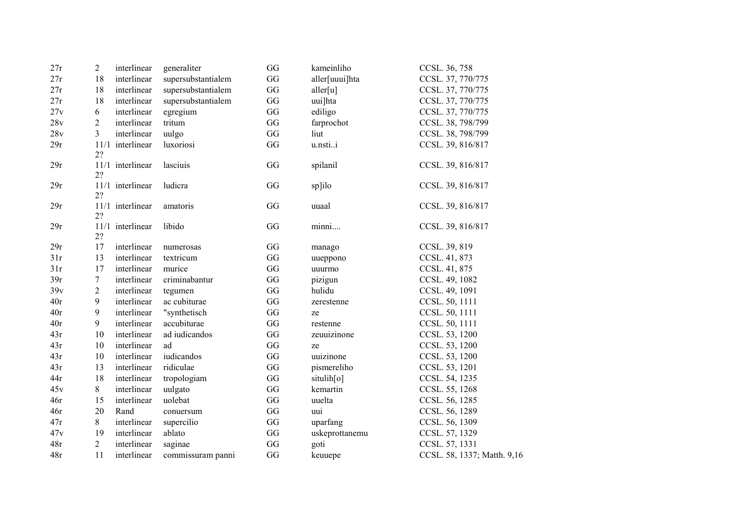| 27r | $\boldsymbol{2}$ | interlinear      | generaliter        | GG | kameinliho     | CCSL. 36, 758               |
|-----|------------------|------------------|--------------------|----|----------------|-----------------------------|
| 27r | 18               | interlinear      | supersubstantialem | GG | aller[uuui]hta | CCSL. 37, 770/775           |
| 27r | 18               | interlinear      | supersubstantialem | GG | aller[u]       | CCSL. 37, 770/775           |
| 27r | 18               | interlinear      | supersubstantialem | GG | uui]hta        | CCSL. 37, 770/775           |
| 27v | 6                | interlinear      | egregium           | GG | ediligo        | CCSL. 37, 770/775           |
| 28v | $\overline{2}$   | interlinear      | tritum             | GG | farprochot     | CCSL. 38, 798/799           |
| 28v | 3                | interlinear      | uulgo              | GG | liut           | CCSL. 38, 798/799           |
| 29r | 2?               | 11/1 interlinear | luxoriosi          | GG | u.nstii        | CCSL. 39, 816/817           |
| 29r | 2?               | 11/1 interlinear | lasciuis           | GG | spilanil       | CCSL. 39, 816/817           |
| 29r | 2?               | 11/1 interlinear | ludicra            | GG | sp]ilo         | CCSL. 39, 816/817           |
| 29r | 2?               | 11/1 interlinear | amatoris           | GG | uuaal          | CCSL. 39, 816/817           |
| 29r | 2?               | 11/1 interlinear | libido             | GG | minni          | CCSL. 39, 816/817           |
| 29r | 17               | interlinear      | numerosas          | GG | manago         | CCSL. 39, 819               |
| 31r | 13               | interlinear      | textricum          | GG | uueppono       | CCSL. 41, 873               |
| 31r | 17               | interlinear      | murice             | GG | uuurmo         | CCSL. 41, 875               |
| 39r | $\boldsymbol{7}$ | interlinear      | criminabantur      | GG | pizigun        | CCSL. 49, 1082              |
| 39v | $\sqrt{2}$       | interlinear      | tegumen            | GG | hulidu         | CCSL. 49, 1091              |
| 40r | $\overline{9}$   | interlinear      | ac cubiturae       | GG | zerestenne     | CCSL. 50, 1111              |
| 40r | $\overline{9}$   | interlinear      | "synthetisch       | GG | ze             | CCSL. 50, 1111              |
| 40r | 9                | interlinear      | accubiturae        | GG | restenne       | CCSL. 50, 1111              |
| 43r | 10               | interlinear      | ad iudicandos      | GG | zeuuizinone    | CCSL. 53, 1200              |
| 43r | 10               | interlinear      | ad                 | GG | ze             | CCSL. 53, 1200              |
| 43r | 10               | interlinear      | iudicandos         | GG | uuizinone      | CCSL. 53, 1200              |
| 43r | 13               | interlinear      | ridiculae          | GG | pismereliho    | CCSL. 53, 1201              |
| 44r | 18               | interlinear      | tropologiam        | GG | situlih[0]     | CCSL. 54, 1235              |
| 45v | 8                | interlinear      | uulgato            | GG | kemartin       | CCSL. 55, 1268              |
| 46r | 15               | interlinear      | uolebat            | GG | uuelta         | CCSL. 56, 1285              |
| 46r | 20               | Rand             | conuersum          | GG | uui            | CCSL. 56, 1289              |
| 47r | 8                | interlinear      | supercilio         | GG | uparfang       | CCSL. 56, 1309              |
| 47v | 19               | interlinear      | ablato             | GG | uskeprottanemu | CCSL. 57, 1329              |
| 48r | $\overline{2}$   | interlinear      | saginae            | GG | goti           | CCSL. 57, 1331              |
| 48r | 11               | interlinear      | commissuram panni  | GG | keuuepe        | CCSL. 58, 1337; Matth. 9,16 |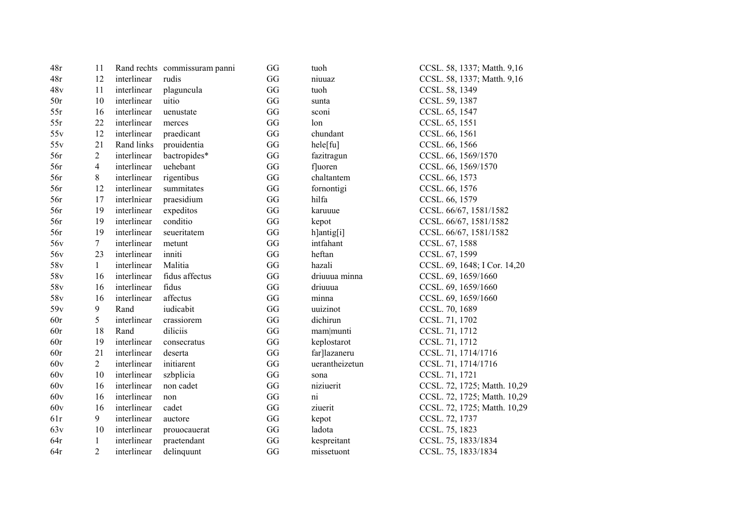| 48r             | 11              |             | Rand rechts commissuram panni | GG                     | tuoh           | CCSL. 58, 1337; Matth. 9,16  |
|-----------------|-----------------|-------------|-------------------------------|------------------------|----------------|------------------------------|
| 48r             | 12              | interlinear | rudis                         | GG                     | niuuaz         | CCSL. 58, 1337; Matth. 9,16  |
| 48v             | 11              | interlinear | plaguncula                    | GG                     | tuoh           | CCSL. 58, 1349               |
| 50r             | 10              | interlinear | uitio                         | GG                     | sunta          | CCSL. 59, 1387               |
| 55r             | 16              | interlinear | uenustate                     | GG                     | sconi          | CCSL. 65, 1547               |
| 55r             | 22              | interlinear | merces                        | GG                     | lon            | CCSL. 65, 1551               |
| 55v             | 12              | interlinear | praedicant                    | GG                     | chundant       | CCSL. 66, 1561               |
| 55v             | 21              | Rand links  | prouidentia                   | GG                     | hele[fu]       | CCSL. 66, 1566               |
| 56r             | $\overline{2}$  | interlinear | bactropides*                  | GG                     | fazitragun     | CCSL. 66, 1569/1570          |
| 56r             | $\overline{4}$  | interlinear | uehebant                      | GG                     | fluoren        | CCSL. 66, 1569/1570          |
| 56r             | $8\,$           | interlinear | rigentibus                    | GG                     | chaltantem     | CCSL. 66, 1573               |
| 56r             | 12              | interlinear | summitates                    | GG                     | fornontigi     | CCSL. 66, 1576               |
| 56r             | 17              | interlniear | praesidium                    | GG                     | hilfa          | CCSL. 66, 1579               |
| 56r             | 19              | interlinear | expeditos                     | $\mathbf{G}\mathbf{G}$ | karuuue        | CCSL. 66/67, 1581/1582       |
| 56r             | 19              | interlinear | conditio                      | GG                     | kepot          | CCSL. 66/67, 1581/1582       |
| 56r             | 19              | interlinear | seueritatem                   | GG                     | h]antig[i]     | CCSL. 66/67, 1581/1582       |
| 56 <sub>v</sub> | $7\phantom{.0}$ | interlinear | metunt                        | GG                     | intfahant      | CCSL. 67, 1588               |
| 56 <sub>v</sub> | 23              | interlinear | inniti                        | GG                     | heftan         | CCSL. 67, 1599               |
| 58 <sub>v</sub> | $\mathbf{1}$    | interlinear | Malitia                       | GG                     | hazali         | CCSL. 69, 1648; I Cor. 14,20 |
| 58v             | 16              | interlinear | fidus affectus                | GG                     | driuuua minna  | CCSL. 69, 1659/1660          |
| 58v             | 16              | interlinear | fidus                         | GG                     | driuuua        | CCSL. 69, 1659/1660          |
| 58 <sub>v</sub> | 16              | interlinear | affectus                      | GG                     | minna          | CCSL. 69, 1659/1660          |
| 59v             | 9               | Rand        | iudicabit                     | GG                     | uuizinot       | CCSL. 70, 1689               |
| 60r             | 5               | interlinear | crassiorem                    | GG                     | dichirun       | CCSL. 71, 1702               |
| 60r             | 18              | Rand        | diliciis                      | $\mathbf{G}\mathbf{G}$ | mam munti      | CCSL. 71, 1712               |
| 60r             | 19              | interlinear | consecratus                   | GG                     | keplostarot    | CCSL. 71, 1712               |
| 60r             | 21              | interlinear | deserta                       | GG                     | far]lazaneru   | CCSL. 71, 1714/1716          |
| 60v             | $\overline{2}$  | interlinear | initiarent                    | GG                     | uerantheizetun | CCSL. 71, 1714/1716          |
| 60v             | 10              | interlinear | szbplicia                     | GG                     | sona           | CCSL. 71, 1721               |
| 60v             | 16              | interlinear | non cadet                     | GG                     | niziuerit      | CCSL. 72, 1725; Matth. 10,29 |
| 60v             | 16              | interlinear | non                           | GG                     | ni             | CCSL. 72, 1725; Matth. 10,29 |
| 60v             | 16              | interlinear | cadet                         | GG                     | ziuerit        | CCSL. 72, 1725; Matth. 10,29 |
| 61r             | 9               | interlinear | auctore                       | GG                     | kepot          | CCSL. 72, 1737               |
| 63v             | 10              | interlinear | prouocauerat                  | GG                     | ladota         | CCSL. 75, 1823               |
| 64r             | $\mathbf{1}$    | interlinear | praetendant                   | GG                     | kespreitant    | CCSL. 75, 1833/1834          |
| 64r             | $\overline{2}$  | interlinear | delinquunt                    | GG                     | missetuont     | CCSL. 75, 1833/1834          |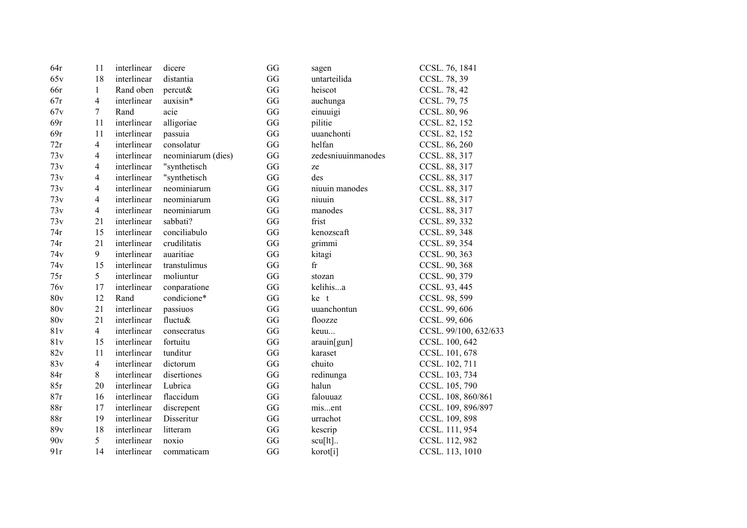| 64r | 11             | interlinear | dicere             | GG                     | sagen                | CCSL. 76, 1841        |
|-----|----------------|-------------|--------------------|------------------------|----------------------|-----------------------|
| 65v | 18             | interlinear | distantia          | GG                     | untarteilida         | CCSL. 78, 39          |
| 66r | $\mathbf{1}$   | Rand oben   | percut&            | GG                     | heiscot              | CCSL. 78, 42          |
| 67r | $\overline{4}$ | interlinear | auxisin*           | GG                     | auchunga             | CCSL. 79, 75          |
| 67v | $\tau$         | Rand        | acie               | GG                     | einuuigi             | CCSL. 80, 96          |
| 69r | 11             | interlinear | alligoriae         | GG                     | pilitie              | CCSL. 82, 152         |
| 69r | 11             | interlinear | passuia            | GG                     | uuanchonti           | CCSL. 82, 152         |
| 72r | $\overline{4}$ | interlinear | consolatur         | GG                     | helfan               | CCSL. 86, 260         |
| 73v | 4              | interlinear | neominiarum (dies) | GG                     | zedesniuuinmanodes   | CCSL. 88, 317         |
| 73v | $\overline{4}$ | interlinear | "synthetisch       | GG                     | ze                   | CCSL. 88, 317         |
| 73v | 4              | interlinear | "synthetisch       | $\mathbf{G}\mathbf{G}$ | des                  | CCSL. 88, 317         |
| 73v | 4              | interlinear | neominiarum        | $\mathbf{G}\mathbf{G}$ | niuuin manodes       | CCSL. 88, 317         |
| 73v | $\overline{4}$ | interlinear | neominiarum        | GG                     | niuuin               | CCSL. 88, 317         |
| 73v | $\overline{4}$ | interlinear | neominiarum        | $\mathbf{G}\mathbf{G}$ | manodes              | CCSL. 88, 317         |
| 73v | 21             | interlinear | sabbati?           | GG                     | frist                | CCSL. 89, 332         |
| 74r | 15             | interlinear | conciliabulo       | GG                     | kenozscaft           | CCSL. 89, 348         |
| 74r | 21             | interlinear | crudilitatis       | GG                     | grimmi               | CCSL. 89, 354         |
| 74v | 9              | interlinear | auaritiae          | GG                     | kitagi               | CCSL. 90, 363         |
| 74v | 15             | interlinear | transtulimus       | GG                     | fr                   | CCSL. 90, 368         |
| 75r | 5              | interlinear | moliuntur          | GG                     | stozan               | CCSL. 90, 379         |
| 76v | 17             | interlinear | conparatione       | GG                     | kelihisa             | CCSL. 93, 445         |
| 80v | 12             | Rand        | condicione*        | GG                     | ke t                 | CCSL. 98, 599         |
| 80v | 21             | interlinear | passiuos           | $\mathbf{G}\mathbf{G}$ | uuanchontun          | CCSL. 99, 606         |
| 80v | 21             | interlinear | fluctu&            | $\mathbf{G}\mathbf{G}$ | floozze              | CCSL. 99, 606         |
| 81v | $\overline{4}$ | interlinear | consecratus        | GG                     | keuu                 | CCSL. 99/100, 632/633 |
| 81v | 15             | interlinear | fortuitu           | $\mathbf{G}\mathbf{G}$ | arauin[gun]          | CCSL. 100, 642        |
| 82v | 11             | interlinear | tunditur           | GG                     | karaset              | CCSL. 101, 678        |
| 83v | $\overline{4}$ | interlinear | dictorum           | GG                     | chuito               | CCSL. 102, 711        |
| 84r | 8              | interlinear | disertiones        | $\mathbf{G}\mathbf{G}$ | redinunga            | CCSL. 103, 734        |
| 85r | 20             | interlinear | Lubrica            | GG                     | halun                | CCSL. 105, 790        |
| 87r | 16             | interlinear | flaccidum          | GG                     | falouuaz             | CCSL. 108, 860/861    |
| 88r | 17             | interlinear | discrepent         | GG                     | misent               | CCSL. 109, 896/897    |
| 88r | 19             | interlinear | Disseritur         | GG                     | urrachot             | CCSL. 109, 898        |
| 89v | 18             | interlinear | litteram           | GG                     | kescrip              | CCSL. 111, 954        |
| 90v | 5              | interlinear | noxio              | GG                     | $scu[lt]$            | CCSL. 112, 982        |
| 91r | 14             | interlinear | commaticam         | GG                     | korot <sup>[i]</sup> | CCSL. 113, 1010       |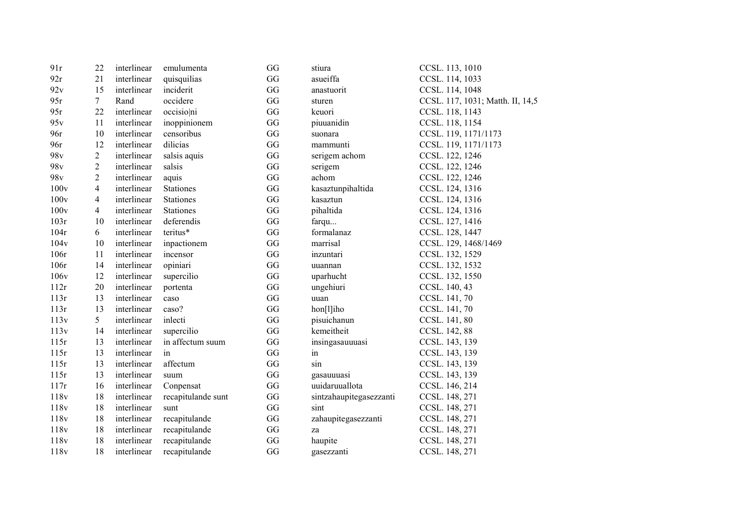| 91r              | 22                       | interlinear | emulumenta         | GG | stiura                  | CCSL. 113, 1010                  |
|------------------|--------------------------|-------------|--------------------|----|-------------------------|----------------------------------|
| 92r              | 21                       | interlinear | quisquilias        | GG | asueiffa                | CCSL. 114, 1033                  |
| 92v              | 15                       | interlinear | inciderit          | GG | anastuorit              | CCSL. 114, 1048                  |
| 95r              | $7\overline{ }$          | Rand        | occidere           | GG | sturen                  | CCSL. 117, 1031; Matth. II, 14,5 |
| 95r              | 22                       | interlinear | occisioni          | GG | keuori                  | CCSL. 118, 1143                  |
| 95v              | 11                       | interlinear | inoppinionem       | GG | piuuanidin              | CCSL. 118, 1154                  |
| 96r              | 10                       | interlinear | censoribus         | GG | suonara                 | CCSL. 119, 1171/1173             |
| 96r              | 12                       | interlinear | dilicias           | GG | mammunti                | CCSL. 119, 1171/1173             |
| 98 <sub>v</sub>  | $\overline{c}$           | interlinear | salsis aquis       | GG | serigem achom           | CCSL. 122, 1246                  |
| 98 <sub>v</sub>  | $\overline{2}$           | interlinear | salsis             | GG | serigem                 | CCSL. 122, 1246                  |
| 98 <sub>v</sub>  | $\overline{2}$           | interlinear | aquis              | GG | achom                   | CCSL. 122, 1246                  |
| 100v             | $\overline{4}$           | interlinear | Stationes          | GG | kasaztunpihaltida       | CCSL. 124, 1316                  |
| 100v             | $\overline{\mathcal{A}}$ | interlinear | Stationes          | GG | kasaztun                | CCSL. 124, 1316                  |
| 100v             | $\overline{4}$           | interlinear | <b>Stationes</b>   | GG | pihaltida               | CCSL. 124, 1316                  |
| 103r             | 10                       | interlinear | deferendis         | GG | farqu                   | CCSL. 127, 1416                  |
| 104r             | 6                        | interlinear | teritus*           | GG | formalanaz              | CCSL. 128, 1447                  |
| 104v             | 10                       | interlinear | inpactionem        | GG | marrisal                | CCSL. 129, 1468/1469             |
| 106r             | 11                       | interlinear | incensor           | GG | inzuntari               | CCSL. 132, 1529                  |
| 106r             | 14                       | interlinear | opiniari           | GG | uuannan                 | CCSL. 132, 1532                  |
| 106 <sub>v</sub> | 12                       | interlinear | supercilio         | GG | uparhucht               | CCSL. 132, 1550                  |
| 112r             | 20                       | interlinear | portenta           | GG | ungehiuri               | CCSL. 140, 43                    |
| 113r             | 13                       | interlinear | caso               | GG | uuan                    | CCSL. 141, 70                    |
| 113r             | 13                       | interlinear | caso?              | GG | hon[l]iho               | CCSL. 141, 70                    |
| 113v             | 5                        | interlinear | inlecti            | GG | pisuichanun             | CCSL. 141, 80                    |
| 113v             | 14                       | interlinear | supercilio         | GG | kemeitheit              | CCSL. 142, 88                    |
| 115r             | 13                       | interlinear | in affectum suum   | GG | insingasauuuasi         | CCSL. 143, 139                   |
| 115r             | 13                       | interlinear | in                 | GG | in                      | CCSL. 143, 139                   |
| 115r             | 13                       | interlinear | affectum           | GG | sin                     | CCSL. 143, 139                   |
| 115r             | 13                       | interlinear | suum               | GG | gasauuuasi              | CCSL. 143, 139                   |
| 117r             | 16                       | interlinear | Conpensat          | GG | uuidaruuallota          | CCSL. 146, 214                   |
| 118v             | 18                       | interlinear | recapitulande sunt | GG | sintzahaupitegasezzanti | CCSL. 148, 271                   |
| 118v             | 18                       | interlinear | sunt               | GG | sint                    | CCSL. 148, 271                   |
| 118v             | 18                       | interlinear | recapitulande      | GG | zahaupitegasezzanti     | CCSL. 148, 271                   |
| 118v             | 18                       | interlinear | recapitulande      | GG | za                      | CCSL. 148, 271                   |
| 118v             | 18                       | interlinear | recapitulande      | GG | haupite                 | CCSL. 148, 271                   |
| 118v             | 18                       | interlinear | recapitulande      | GG | gasezzanti              | CCSL. 148, 271                   |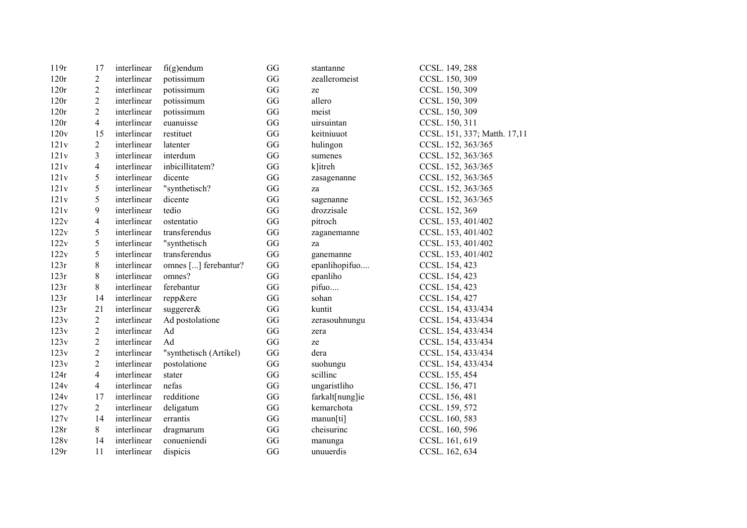| 119r | 17                       | interlinear | $fi(g)$ endum          | GG | stantanne       | CCSL. 149, 288               |
|------|--------------------------|-------------|------------------------|----|-----------------|------------------------------|
| 120r | $\overline{c}$           | interlinear | potissimum             | GG | zealleromeist   | CCSL. 150, 309               |
| 120r | $\overline{c}$           | interlinear | potissimum             | GG | ze              | CCSL. 150, 309               |
| 120r | $\overline{c}$           | interlinear | potissimum             | GG | allero          | CCSL. 150, 309               |
| 120r | $\overline{2}$           | interlinear | potissimum             | GG | meist           | CCSL. 150, 309               |
| 120r | 4                        | interlinear | euanuisse              | GG | uirsuintan      | CCSL. 150, 311               |
| 120v | 15                       | interlinear | restituet              | GG | keitniuuot      | CCSL. 151, 337; Matth. 17,11 |
| 121v | $\overline{2}$           | interlinear | latenter               | GG | hulingon        | CCSL. 152, 363/365           |
| 121v | 3                        | interlinear | interdum               | GG | sumenes         | CCSL. 152, 363/365           |
| 121v | $\overline{\mathbf{4}}$  | interlinear | inbicillitatem?        | GG | k litreh        | CCSL. 152, 363/365           |
| 121v | 5                        | interlinear | dicente                | GG | zasagenanne     | CCSL. 152, 363/365           |
| 121v | $\mathfrak s$            | interlinear | "synthetisch?          | GG | za              | CCSL. 152, 363/365           |
| 121v | 5                        | interlinear | dicente                | GG | sagenanne       | CCSL. 152, 363/365           |
| 121v | 9                        | interlinear | tedio                  | GG | drozzisale      | CCSL. 152, 369               |
| 122v | $\overline{\mathcal{A}}$ | interlinear | ostentatio             | GG | pitroch         | CCSL. 153, 401/402           |
| 122v | 5                        | interlinear | transferendus          | GG | zaganemanne     | CCSL. 153, 401/402           |
| 122v | 5                        | interlinear | "synthetisch           | GG | za              | CCSL. 153, 401/402           |
| 122v | 5                        | interlinear | transferendus          | GG | ganemanne       | CCSL. 153, 401/402           |
| 123r | 8                        | interlinear | omnes [] ferebantur?   | GG | epanlihopifuo   | CCSL. 154, 423               |
| 123r | 8                        | interlinear | omnes?                 | GG | epanliho        | CCSL. 154, 423               |
| 123r | 8                        | interlinear | ferebantur             | GG | pifuo           | CCSL. 154, 423               |
| 123r | 14                       | interlinear | repp&ere               | GG | sohan           | CCSL. 154, 427               |
| 123r | 21                       | interlinear | suggerer $\&$          | GG | kuntit          | CCSL. 154, 433/434           |
| 123v | $\overline{c}$           | interlinear | Ad postolatione        | GG | zerasouhnungu   | CCSL. 154, 433/434           |
| 123v | $\overline{2}$           | interlinear | Ad                     | GG | zera            | CCSL. 154, 433/434           |
| 123v | $\overline{2}$           | interlinear | Ad                     | GG | ze              | CCSL. 154, 433/434           |
| 123v | $\overline{c}$           | interlinear | "synthetisch (Artikel) | GG | dera            | CCSL. 154, 433/434           |
| 123v | $\overline{2}$           | interlinear | postolatione           | GG | suohungu        | CCSL. 154, 433/434           |
| 124r | $\overline{4}$           | interlinear | stater                 | GG | scilline        | CCSL. 155, 454               |
| 124v | 4                        | interlinear | nefas                  | GG | ungaristliho    | CCSL. 156, 471               |
| 124v | 17                       | interlinear | redditione             | GG | farkalt[nung]ie | CCSL. 156, 481               |
| 127v | $\overline{2}$           | interlinear | deligatum              | GG | kemarchota      | CCSL. 159, 572               |
| 127v | 14                       | interlinear | errantis               | GG | manun[ti]       | CCSL. 160, 583               |
| 128r | 8                        | interlinear | dragmarum              | GG | cheisurinc      | CCSL. 160, 596               |
| 128v | 14                       | interlinear | conueniendi            | GG | manunga         | CCSL. 161, 619               |
| 129r | 11                       | interlinear | dispicis               | GG | unuuerdis       | CCSL. 162, 634               |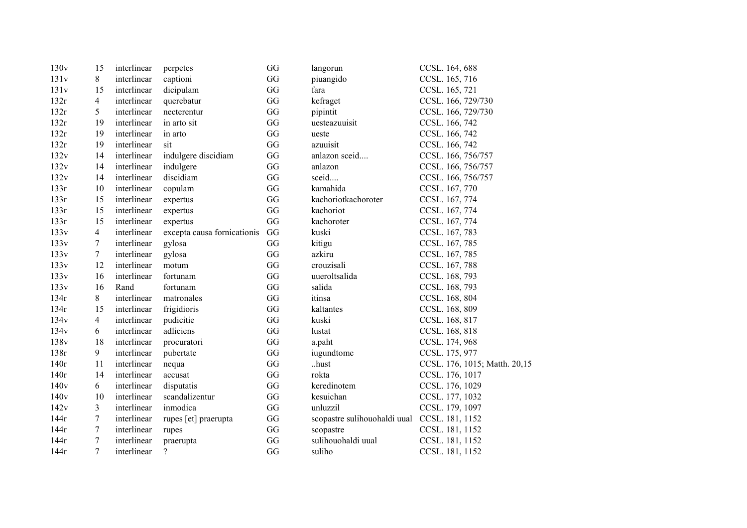| 130v | 15             | interlinear | perpetes                    | GG | langorun                                     | CCSL. 164, 688                |
|------|----------------|-------------|-----------------------------|----|----------------------------------------------|-------------------------------|
| 131v | 8              | interlinear | captioni                    | GG | piuangido                                    | CCSL. 165, 716                |
| 131v | 15             | interlinear | dicipulam                   | GG | fara                                         | CCSL. 165, 721                |
| 132r | $\overline{4}$ | interlinear | querebatur                  | GG | kefraget                                     | CCSL. 166, 729/730            |
| 132r | 5.             | interlinear | necterentur                 | GG | pipintit                                     | CCSL. 166, 729/730            |
| 132r | 19             | interlinear | in arto sit                 | GG | uesteazuuisit                                | CCSL. 166, 742                |
| 132r | 19             | interlinear | in arto                     | GG | ueste                                        | CCSL. 166, 742                |
| 132r | 19             | interlinear | sit                         | GG | azuuisit                                     | CCSL. 166, 742                |
| 132v | 14             | interlinear | indulgere discidiam         | GG | anlazon sceid                                | CCSL. 166, 756/757            |
| 132v | 14             | interlinear | indulgere                   | GG | anlazon                                      | CCSL. 166, 756/757            |
| 132v | 14             | interlinear | discidiam                   | GG | sceid                                        | CCSL. 166, 756/757            |
| 133r | 10             | interlinear | copulam                     | GG | kamahida                                     | CCSL. 167, 770                |
| 133r | 15             | interlinear | expertus                    | GG | kachoriotkachoroter                          | CCSL. 167, 774                |
| 133r | 15             | interlinear | expertus                    | GG | kachoriot                                    | CCSL. 167, 774                |
| 133r | 15             | interlinear | expertus                    | GG | kachoroter                                   | CCSL. 167, 774                |
| 133v | $\overline{4}$ | interlinear | excepta causa fornicationis | GG | kuski                                        | CCSL. 167, 783                |
| 133v | $\tau$         | interlinear | gylosa                      | GG | kitigu                                       | CCSL. 167, 785                |
| 133v | $\tau$         | interlinear | gylosa                      | GG | azkiru                                       | CCSL. 167, 785                |
| 133v | 12             | interlinear | motum                       | GG | crouzisali                                   | CCSL. 167, 788                |
| 133v | 16             | interlinear | fortunam                    | GG | uueroltsalida                                | CCSL. 168, 793                |
| 133v | 16             | Rand        | fortunam                    | GG | salida                                       | CCSL. 168, 793                |
| 134r | 8              | interlinear | matronales                  | GG | itinsa                                       | CCSL. 168, 804                |
| 134r | 15             | interlinear | frigidioris                 | GG | kaltantes                                    | CCSL. 168, 809                |
| 134v | $\overline{4}$ | interlinear | pudicitie                   | GG | kuski                                        | CCSL. 168, 817                |
| 134v | 6              | interlinear | adliciens                   | GG | lustat                                       | CCSL. 168, 818                |
| 138v | 18             | interlinear | procuratori                 | GG | a.paht                                       | CCSL. 174, 968                |
| 138r | 9              | interlinear | pubertate                   | GG | iugundtome                                   | CCSL. 175, 977                |
| 140r | 11             | interlinear | nequa                       | GG | hust                                         | CCSL. 176, 1015; Matth. 20,15 |
| 140r | 14             | interlinear | accusat                     | GG | rokta                                        | CCSL. 176, 1017               |
| 140v | 6              | interlinear | disputatis                  | GG | keredinotem                                  | CCSL. 176, 1029               |
| 140v | 10             | interlinear | scandalizentur              | GG | kesuichan                                    | CCSL. 177, 1032               |
| 142v | $\mathfrak{Z}$ | interlinear | inmodica                    | GG | unluzzil                                     | CCSL. 179, 1097               |
| 144r | $\tau$         | interlinear | rupes [et] praerupta        | GG | scopastre sulihouohaldi uual CCSL. 181, 1152 |                               |
| 144r | $\tau$         | interlinear | rupes                       | GG | scopastre                                    | CCSL. 181, 1152               |
| 144r | 7              | interlinear | praerupta                   | GG | sulihouohaldi uual                           | CCSL. 181, 1152               |
| 144r | $\overline{7}$ | interlinear | $\overline{\mathcal{L}}$    | GG | suliho                                       | CCSL. 181, 1152               |